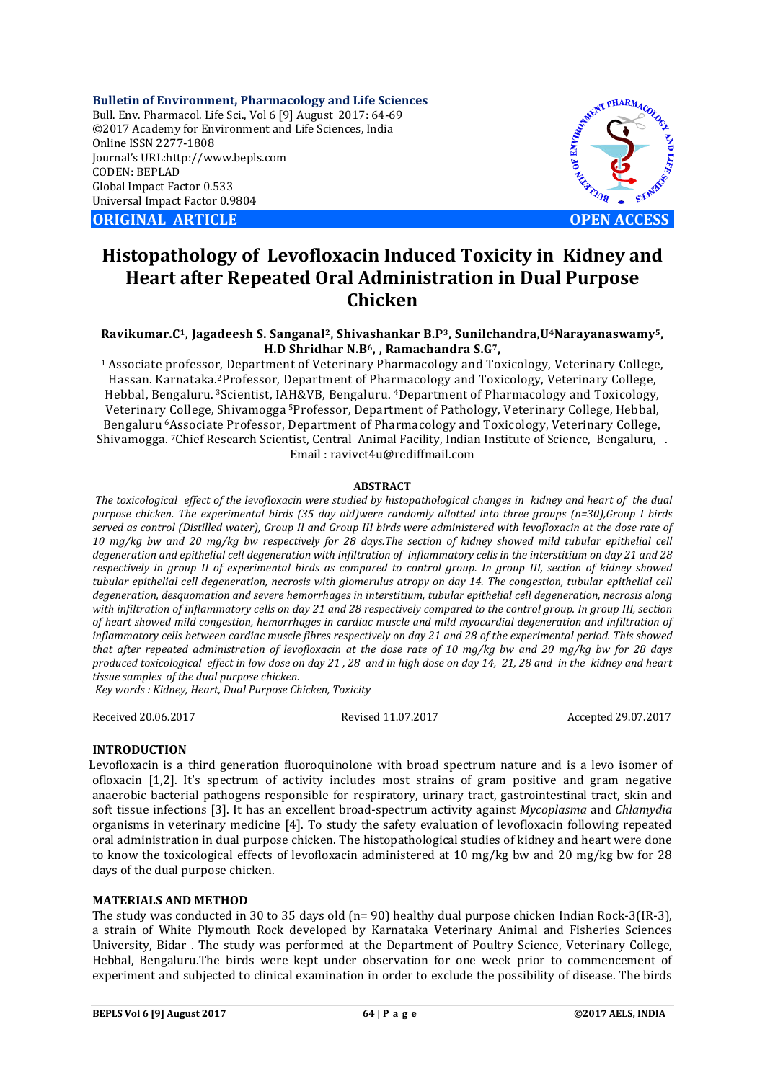**Bulletin of Environment, Pharmacology and Life Sciences** Bull. Env. Pharmacol. Life Sci., Vol 6 [9] August 2017: 64-69 ©2017 Academy for Environment and Life Sciences, India Online ISSN 2277-1808 Journal's URL:http://www.bepls.com CODEN: BEPLAD Global Impact Factor 0.533 Universal Impact Factor 0.9804

**ORIGINAL ARTICLE CONSUMING ARTICLE CONSUMING A REPORT OF EXAMPLE A OPEN ACCESS** 



# **Histopathology of Levofloxacin Induced Toxicity in Kidney and Heart after Repeated Oral Administration in Dual Purpose Chicken**

# **Ravikumar.C1, Jagadeesh S. Sanganal2, Shivashankar B.P3, Sunilchandra,U4Narayanaswamy5, H.D Shridhar N.B6, , Ramachandra S.G7,**

1 Associate professor, Department of Veterinary Pharmacology and Toxicology, Veterinary College, Hassan. Karnataka.2Professor, Department of Pharmacology and Toxicology, Veterinary College, Hebbal, Bengaluru. 3Scientist, IAH&VB, Bengaluru. 4Department of Pharmacology and Toxicology, Veterinary College, Shivamogga 5Professor, Department of Pathology, Veterinary College, Hebbal, Bengaluru 6Associate Professor, Department of Pharmacology and Toxicology, Veterinary College, Shivamogga. 7Chief Research Scientist, Central Animal Facility, Indian Institute of Science, Bengaluru, . Email : ravivet4u@rediffmail.com

## **ABSTRACT**

*The toxicological effect of the levofloxacin were studied by histopathological changes in kidney and heart of the dual purpose chicken. The experimental birds (35 day old)were randomly allotted into three groups (n=30),Group I birds served as control (Distilled water), Group II and Group III birds were administered with levofloxacin at the dose rate of 10 mg/kg bw and 20 mg/kg bw respectively for 28 days.The section of kidney showed mild tubular epithelial cell degeneration and epithelial cell degeneration with infiltration of inflammatory cells in the interstitium on day 21 and 28 respectively in group II of experimental birds as compared to control group. In group III, section of kidney showed tubular epithelial cell degeneration, necrosis with glomerulus atropy on day 14. The congestion, tubular epithelial cell degeneration, desquomation and severe hemorrhages in interstitium, tubular epithelial cell degeneration, necrosis along with infiltration of inflammatory cells on day 21 and 28 respectively compared to the control group. In group III, section of heart showed mild congestion, hemorrhages in cardiac muscle and mild myocardial degeneration and infiltration of inflammatory cells between cardiac muscle fibres respectively on day 21 and 28 of the experimental period. This showed that after repeated administration of levofloxacin at the dose rate of 10 mg/kg bw and 20 mg/kg bw for 28 days produced toxicological effect in low dose on day 21 , 28 and in high dose on day 14, 21, 28 and in the kidney and heart tissue samples of the dual purpose chicken.*

*Key words : Kidney, Heart, Dual Purpose Chicken, Toxicity*

Received 20.06.2017 Revised 11.07.2017 Accepted 29.07.2017

# **INTRODUCTION**

 Levofloxacin is a third generation fluoroquinolone with broad spectrum nature and is a levo isomer of ofloxacin [1,2]. It's spectrum of activity includes most strains of gram positive and gram negative anaerobic bacterial pathogens responsible for respiratory, urinary tract, gastrointestinal tract, skin and soft tissue infections [3]. It has an excellent broad-spectrum activity against *Mycoplasma* and *Chlamydia* organisms in veterinary medicine [4]. To study the safety evaluation of levofloxacin following repeated oral administration in dual purpose chicken. The histopathological studies of kidney and heart were done to know the toxicological effects of levofloxacin administered at 10 mg/kg bw and 20 mg/kg bw for 28 days of the dual purpose chicken.

#### **MATERIALS AND METHOD**

The study was conducted in 30 to 35 days old (n= 90) healthy dual purpose chicken Indian Rock-3(IR-3), a strain of White Plymouth Rock developed by Karnataka Veterinary Animal and Fisheries Sciences University, Bidar . The study was performed at the Department of Poultry Science, Veterinary College, Hebbal, Bengaluru.The birds were kept under observation for one week prior to commencement of experiment and subjected to clinical examination in order to exclude the possibility of disease. The birds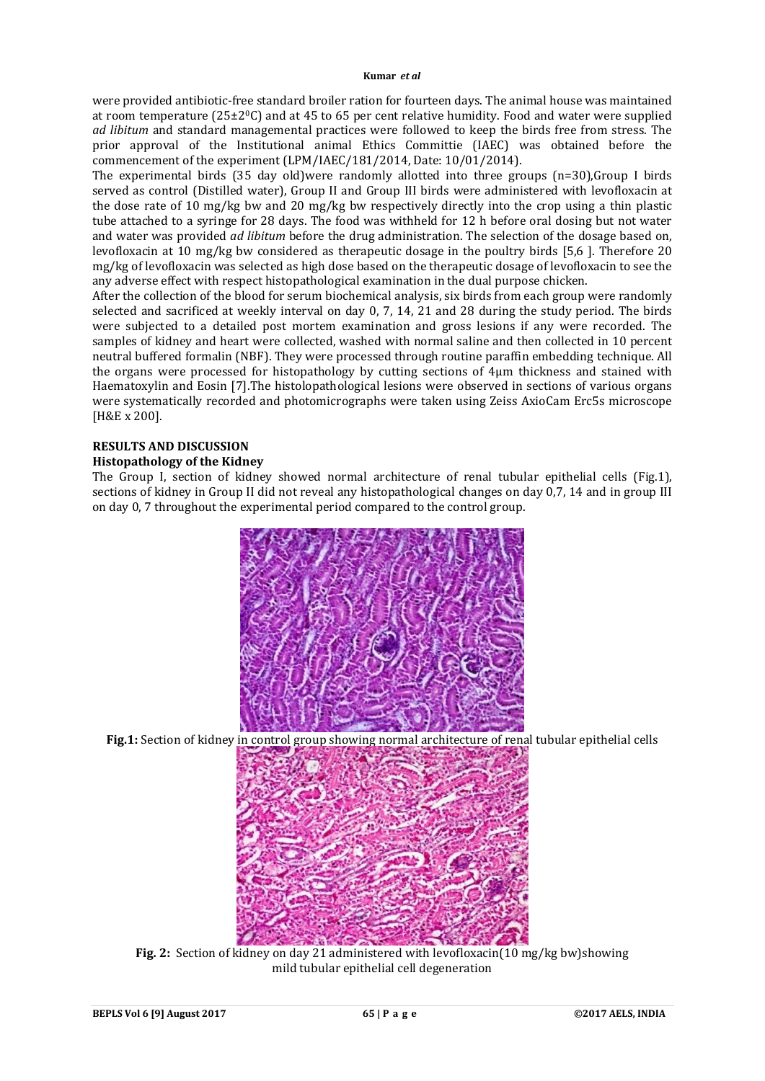were provided antibiotic-free standard broiler ration for fourteen days. The animal house was maintained at room temperature  $(25\pm20)$  and at 45 to 65 per cent relative humidity. Food and water were supplied *ad libitum* and standard managemental practices were followed to keep the birds free from stress. The prior approval of the Institutional animal Ethics Committie (IAEC) was obtained before the commencement of the experiment (LPM/IAEC/181/2014, Date: 10/01/2014).

The experimental birds (35 day old)were randomly allotted into three groups (n=30),Group I birds served as control (Distilled water), Group II and Group III birds were administered with levofloxacin at the dose rate of 10 mg/kg bw and 20 mg/kg bw respectively directly into the crop using a thin plastic tube attached to a syringe for 28 days. The food was withheld for 12 h before oral dosing but not water and water was provided *ad libitum* before the drug administration. The selection of the dosage based on, levofloxacin at 10 mg/kg bw considered as therapeutic dosage in the poultry birds [5,6 ]. Therefore 20 mg/kg of levofloxacin was selected as high dose based on the therapeutic dosage of levofloxacin to see the any adverse effect with respect histopathological examination in the dual purpose chicken.

After the collection of the blood for serum biochemical analysis, six birds from each group were randomly selected and sacrificed at weekly interval on day 0, 7, 14, 21 and 28 during the study period. The birds were subjected to a detailed post mortem examination and gross lesions if any were recorded. The samples of kidney and heart were collected, washed with normal saline and then collected in 10 percent neutral buffered formalin (NBF). They were processed through routine paraffin embedding technique. All the organs were processed for histopathology by cutting sections of 4µm thickness and stained with Haematoxylin and Eosin [7].The histolopathological lesions were observed in sections of various organs were systematically recorded and photomicrographs were taken using Zeiss AxioCam Erc5s microscope [H&E x 200].

# **RESULTS AND DISCUSSION**

# **Histopathology of the Kidney**

The Group I, section of kidney showed normal architecture of renal tubular epithelial cells (Fig.1), sections of kidney in Group II did not reveal any histopathological changes on day 0,7, 14 and in group III on day 0, 7 throughout the experimental period compared to the control group.



**Fig.1:** Section of kidney in control group showing normal architecture of renal tubular epithelial cells



**Fig. 2:** Section of kidney on day 21 administered with levofloxacin(10 mg/kg bw)showing mild tubular epithelial cell degeneration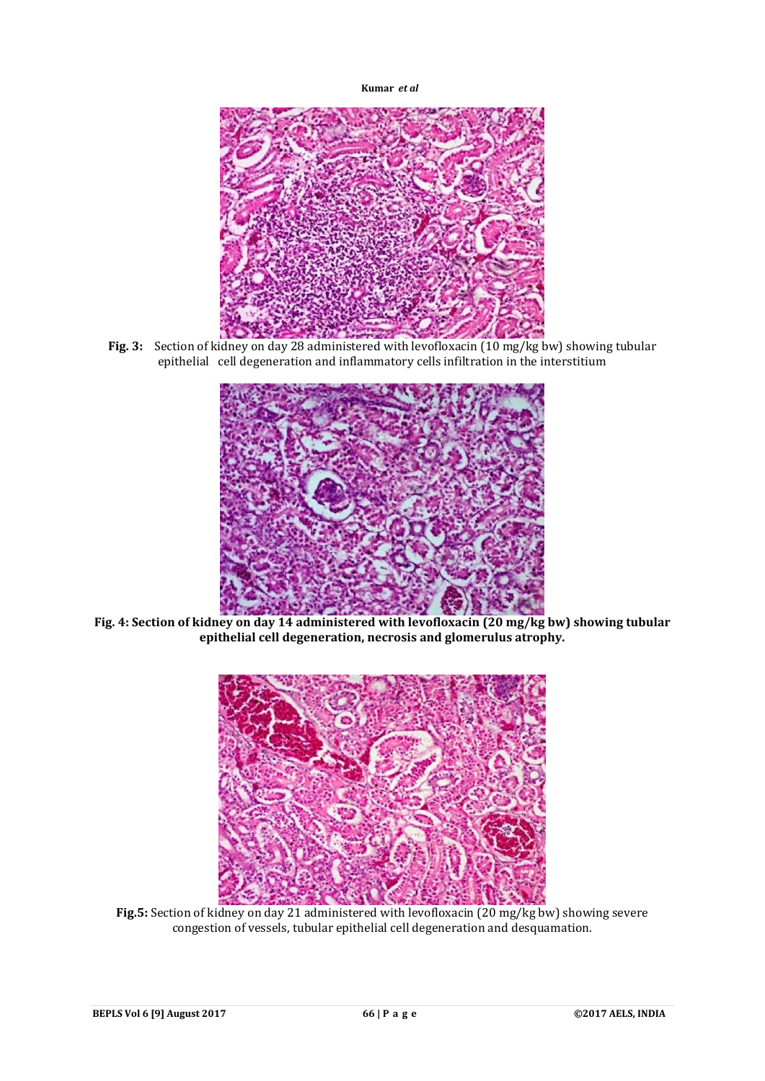

Fig. 3: Section of kidney on day 28 administered with levofloxacin (10 mg/kg bw) showing tubular epithelial cell degeneration and inflammatory cells infiltration in the interstitium



**Fig. 4: Section of kidney on day 14 administered with levofloxacin (20 mg/kg bw) showing tubular epithelial cell degeneration, necrosis and glomerulus atrophy.**



**Fig.5:** Section of kidney on day 21 administered with levofloxacin (20 mg/kg bw) showing severe congestion of vessels, tubular epithelial cell degeneration and desquamation.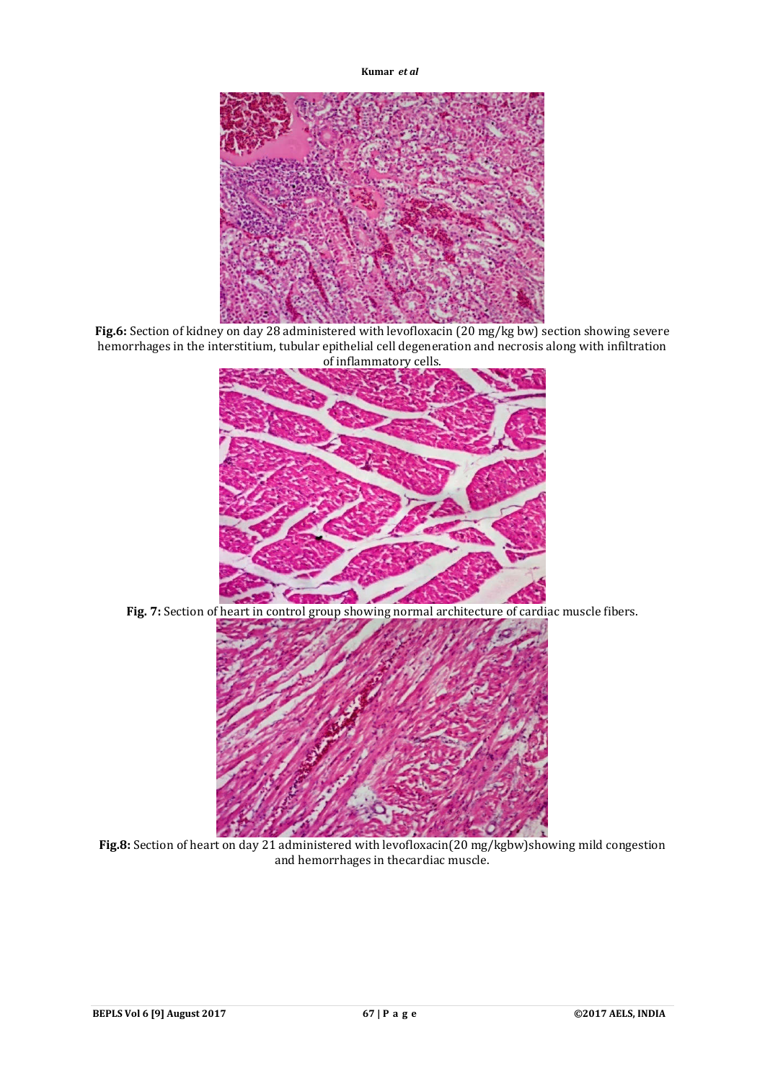

**Fig.6:** Section of kidney on day 28 administered with levofloxacin (20 mg/kg bw) section showing severe hemorrhages in the interstitium, tubular epithelial cell degeneration and necrosis along with infiltration of inflammatory cells.



**Fig. 7:** Section of heart in control group showing normal architecture of cardiac muscle fibers.



**Fig.8:** Section of heart on day 21 administered with levofloxacin(20 mg/kgbw)showing mild congestion and hemorrhages in thecardiac muscle.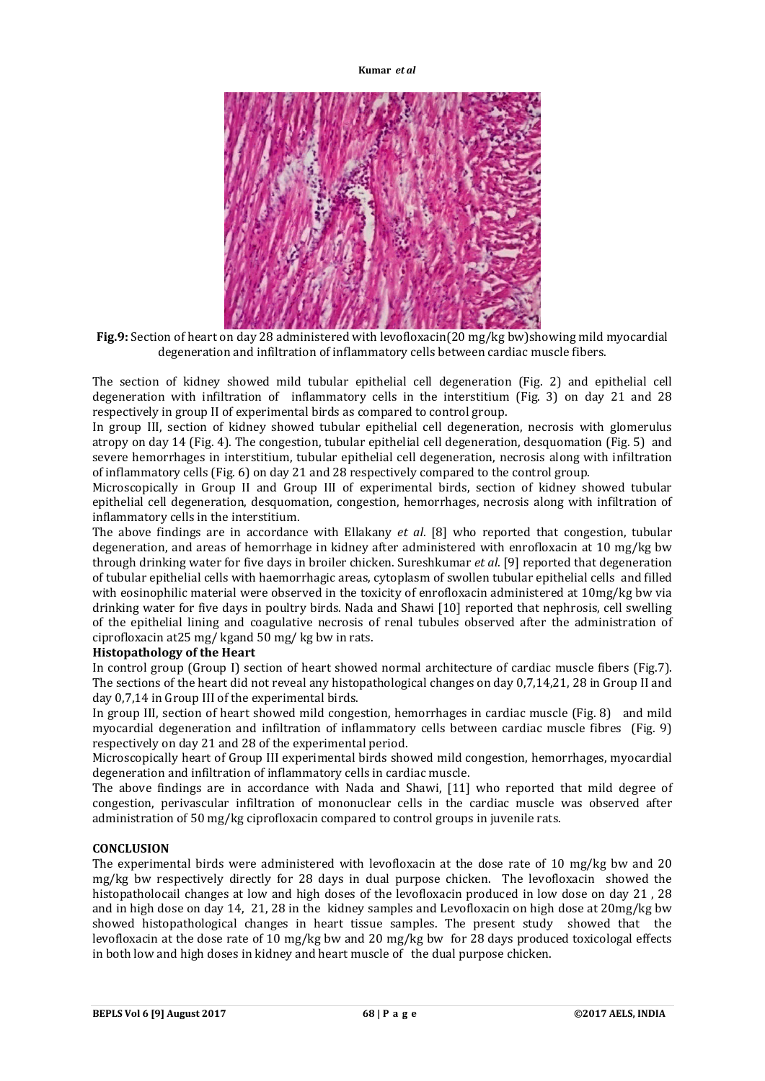

**Fig.9:** Section of heart on day 28 administered with levofloxacin(20 mg/kg bw)showing mild myocardial degeneration and infiltration of inflammatory cells between cardiac muscle fibers.

The section of kidney showed mild tubular epithelial cell degeneration (Fig. 2) and epithelial cell degeneration with infiltration of inflammatory cells in the interstitium (Fig. 3) on day 21 and 28 respectively in group II of experimental birds as compared to control group.

In group III, section of kidney showed tubular epithelial cell degeneration, necrosis with glomerulus atropy on day 14 (Fig. 4). The congestion, tubular epithelial cell degeneration, desquomation (Fig. 5) and severe hemorrhages in interstitium, tubular epithelial cell degeneration, necrosis along with infiltration of inflammatory cells (Fig. 6) on day 21 and 28 respectively compared to the control group.

Microscopically in Group II and Group III of experimental birds, section of kidney showed tubular epithelial cell degeneration, desquomation, congestion, hemorrhages, necrosis along with infiltration of inflammatory cells in the interstitium.

The above findings are in accordance with Ellakany *et al*. [8] who reported that congestion, tubular degeneration, and areas of hemorrhage in kidney after administered with enrofloxacin at 10 mg/kg bw through drinking water for five days in broiler chicken. Sureshkumar *et al*. [9] reported that degeneration of tubular epithelial cells with haemorrhagic areas, cytoplasm of swollen tubular epithelial cells and filled with eosinophilic material were observed in the toxicity of enrofloxacin administered at 10mg/kg bw via drinking water for five days in poultry birds. Nada and Shawi [10] reported that nephrosis, cell swelling of the epithelial lining and coagulative necrosis of renal tubules observed after the administration of ciprofloxacin at25 mg/ kgand 50 mg/ kg bw in rats.

# **Histopathology of the Heart**

In control group (Group I) section of heart showed normal architecture of cardiac muscle fibers (Fig.7). The sections of the heart did not reveal any histopathological changes on day 0,7,14,21, 28 in Group II and day 0,7,14 in Group III of the experimental birds.

In group III, section of heart showed mild congestion, hemorrhages in cardiac muscle (Fig. 8) and mild myocardial degeneration and infiltration of inflammatory cells between cardiac muscle fibres (Fig. 9) respectively on day 21 and 28 of the experimental period.

Microscopically heart of Group III experimental birds showed mild congestion, hemorrhages, myocardial degeneration and infiltration of inflammatory cells in cardiac muscle.

The above findings are in accordance with Nada and Shawi, [11] who reported that mild degree of congestion, perivascular infiltration of mononuclear cells in the cardiac muscle was observed after administration of 50 mg/kg ciprofloxacin compared to control groups in juvenile rats.

# **CONCLUSION**

The experimental birds were administered with levofloxacin at the dose rate of 10 mg/kg bw and 20 mg/kg bw respectively directly for 28 days in dual purpose chicken. The levofloxacin showed the histopatholocail changes at low and high doses of the levofloxacin produced in low dose on day 21 , 28 and in high dose on day 14, 21, 28 in the kidney samples and Levofloxacin on high dose at 20mg/kg bw showed histopathological changes in heart tissue samples. The present study showed that the levofloxacin at the dose rate of 10 mg/kg bw and 20 mg/kg bw for 28 days produced toxicologal effects in both low and high doses in kidney and heart muscle of the dual purpose chicken.